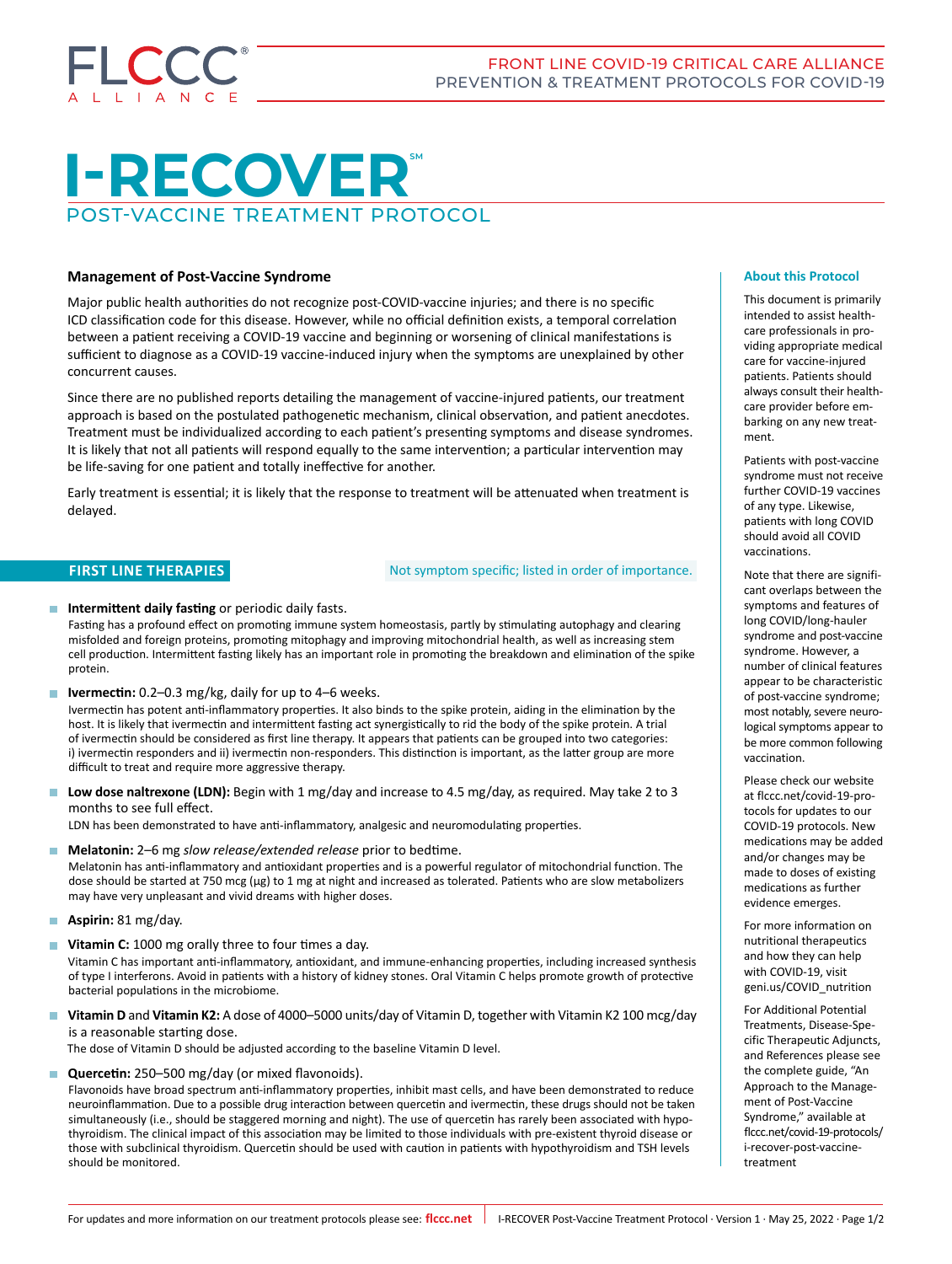

# **I-RECOVER** POST-VACCINE TREATMENT PROTOCOL

# **Management of Post-Vaccine Syndrome**

Major public health authorities do not recognize post-COVID-vaccine injuries; and there is no specific ICD classification code for this disease. However, while no official definition exists, a temporal correlation between a patient receiving a COVID-19 vaccine and beginning or worsening of clinical manifestations is sufficient to diagnose as a COVID-19 vaccine-induced injury when the symptoms are unexplained by other concurrent causes.

Since there are no published reports detailing the management of vaccine-injured patients, our treatment approach is based on the postulated pathogenetic mechanism, clinical observation, and patient anecdotes. Treatment must be individualized according to each patient's presenting symptoms and disease syndromes. It is likely that not all patients will respond equally to the same intervention; a particular intervention may be life-saving for one patient and totally ineffective for another.

Early treatment is essential; it is likely that the response to treatment will be attenuated when treatment is delayed.

### **FIRST LINE THERAPIES EXECUTE:** Not symptom specific; listed in order of importance.

**Intermittent daily fasting** or periodic daily fasts.

Fasting has a profound effect on promoting immune system homeostasis, partly by stimulating autophagy and clearing misfolded and foreign proteins, promoting mitophagy and improving mitochondrial health, as well as increasing stem cell production. Intermittent fasting likely has an important role in promoting the breakdown and elimination of the spike protein.

■ **Ivermectin:** 0.2–0.3 mg/kg, daily for up to 4–6 weeks.

Ivermectin has potent anti-inflammatory properties. It also binds to the spike protein, aiding in the elimination by the host. It is likely that ivermectin and intermittent fasting act synergistically to rid the body of the spike protein. A trial of ivermectin should be considered as first line therapy. It appears that patients can be grouped into two categories: i) ivermectin responders and ii) ivermectin non-responders. This distinction is important, as the latter group are more difficult to treat and require more aggressive therapy.

**Low dose naltrexone (LDN):** Begin with 1 mg/day and increase to 4.5 mg/day, as required. May take 2 to 3 months to see full effect.

LDN has been demonstrated to have anti-inflammatory, analgesic and neuromodulating properties.

**Melatonin:** 2–6 mg *slow release/extended release* prior to bedtime.

Melatonin has anti-inflammatory and antioxidant properties and is a powerful regulator of mitochondrial function. The dose should be started at 750 mcg (μg) to 1 mg at night and increased as tolerated. Patients who are slow metabolizers may have very unpleasant and vivid dreams with higher doses.

- **Aspirin:** 81 mg/day.
- **Vitamin C:** 1000 mg orally three to four times a day.

Vitamin C has important anti-inflammatory, antioxidant, and immune-enhancing properties, including increased synthesis of type I interferons. Avoid in patients with a history of kidney stones. Oral Vitamin C helps promote growth of protective bacterial populations in the microbiome.

 **Vitamin D** and **Vitamin K2:** A dose of 4000–5000 units/day of Vitamin D, together with Vitamin K2 100 mcg/day is a reasonable starting dose.

The dose of Vitamin D should be adjusted according to the baseline Vitamin D level.

**Quercetin:** 250–500 mg/day (or mixed flavonoids).

Flavonoids have broad spectrum anti-inflammatory properties, inhibit mast cells, and have been demonstrated to reduce neuroinflammation. Due to a possible drug interaction between quercetin and ivermectin, these drugs should not be taken simultaneously (i.e., should be staggered morning and night). The use of quercetin has rarely been associated with hypothyroidism. The clinical impact of this association may be limited to those individuals with pre-existent thyroid disease or those with subclinical thyroidism. Quercetin should be used with caution in patients with hypothyroidism and TSH levels should be monitored.

#### **About this Protocol**

This document is primarily intended to assist healthcare professionals in providing appropriate medical care for vaccine-injured patients. Patients should always consult their healthcare provider before embarking on any new treatment.

Patients with post-vaccine syndrome must not receive further COVID-19 vaccines of any type. Likewise, patients with long COVID should avoid all COVID vaccinations.

Note that there are significant overlaps between the symptoms and features of long COVID/long-hauler syndrome and post-vaccine syndrome. However, a number of clinical features appear to be characteristic of post-vaccine syndrome; most notably, severe neurological symptoms appear to be more common following vaccination.

Please check our website at flccc.net/covid-19-pro[tocols](https://flccc.net/covid-19-protocols) for updates to our COVID-19 protocols. New medications may be added and/or changes may be made to doses of existing medications as further evidence emerges.

For more information on nutritional therapeutics and how they can help with COVID-19, visit [geni.us/COVID\\_nutrition](https://geni.us/COVID_nutrition)

For Additional Potential Treatments, Disease-Specific Therapeutic Adjuncts, and References please see the complete guide, "An Approach to the Management of Post-Vaccine Syndrome," available at [flccc.net/covid-19-protocols/](https://covid19criticalcare.com/covid-19-protocols/i-recover-post-vaccine-treatment) [i-recover-post-vaccine](https://covid19criticalcare.com/covid-19-protocols/i-recover-post-vaccine-treatment)[treatment](https://covid19criticalcare.com/covid-19-protocols/i-recover-post-vaccine-treatment)